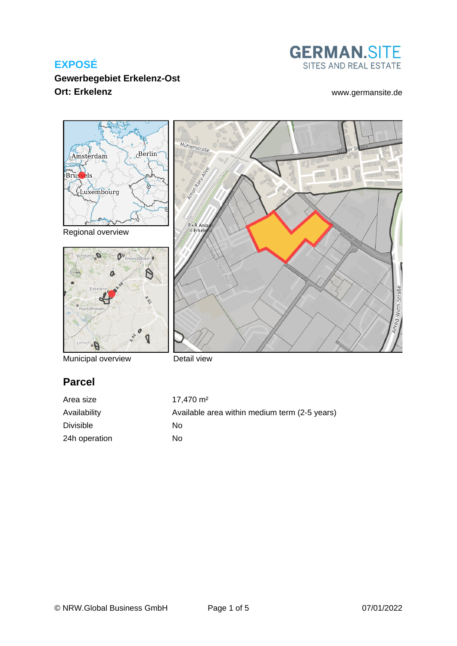

### **Gewerbegebiet Erkelenz-Ost Ort: Erkelenz** [www.germansite.de](http://www.germansite.de)



Regional overview



Municipal overview



Detail view

# **Parcel**

| Area size        | $17.470 \text{ m}^2$                          |
|------------------|-----------------------------------------------|
| Availability     | Available area within medium term (2-5 years) |
| <b>Divisible</b> | Nο                                            |
| 24h operation    | No.                                           |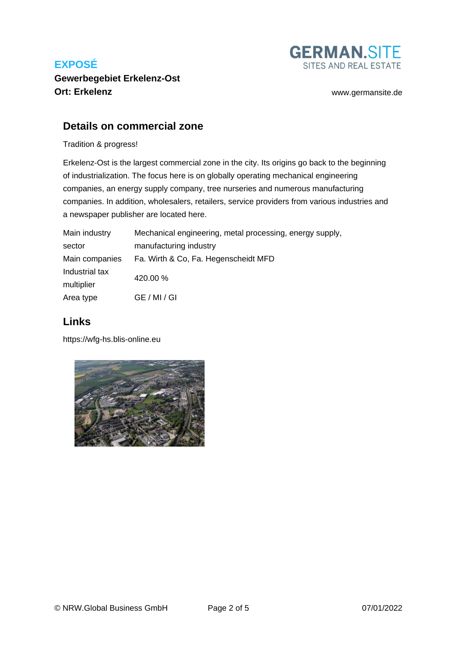

**Gewerbegebiet Erkelenz-Ost Ort: Erkelenz** [www.germansite.de](http://www.germansite.de)

### **Details on commercial zone**

Tradition & progress!

Erkelenz-Ost is the largest commercial zone in the city. Its origins go back to the beginning of industrialization. The focus here is on globally operating mechanical engineering companies, an energy supply company, tree nurseries and numerous manufacturing companies. In addition, wholesalers, retailers, service providers from various industries and a newspaper publisher are located here.

| Main industry  | Mechanical engineering, metal processing, energy supply, |
|----------------|----------------------------------------------------------|
| sector         | manufacturing industry                                   |
| Main companies | Fa. Wirth & Co. Fa. Hegenscheidt MFD                     |
| Industrial tax | 420.00 %                                                 |
| multiplier     |                                                          |
| Area type      | GE / MI / GI                                             |

### **Links**

<https://wfg-hs.blis-online.eu>

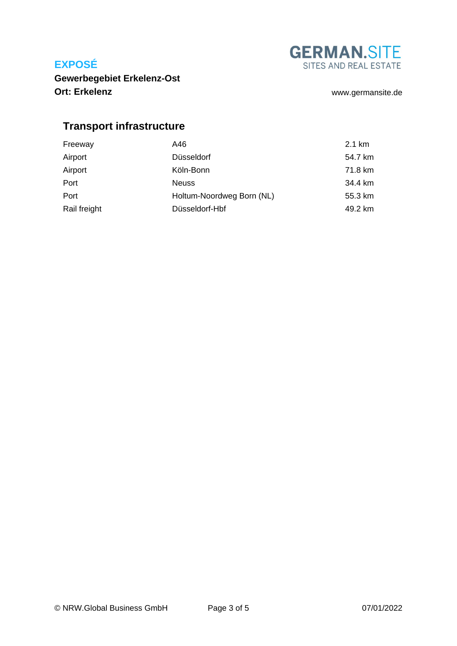**GERMAN.SITE** SITES AND REAL ESTATE

**Gewerbegebiet Erkelenz-Ost Ort: Erkelenz** [www.germansite.de](http://www.germansite.de)

# **Transport infrastructure**

| Freeway      | A46                       | 2.1 km  |
|--------------|---------------------------|---------|
| Airport      | Düsseldorf                | 54.7 km |
| Airport      | Köln-Bonn                 | 71.8 km |
| Port         | <b>Neuss</b>              | 34.4 km |
| Port         | Holtum-Noordweg Born (NL) | 55.3 km |
| Rail freight | Düsseldorf-Hbf            | 49.2 km |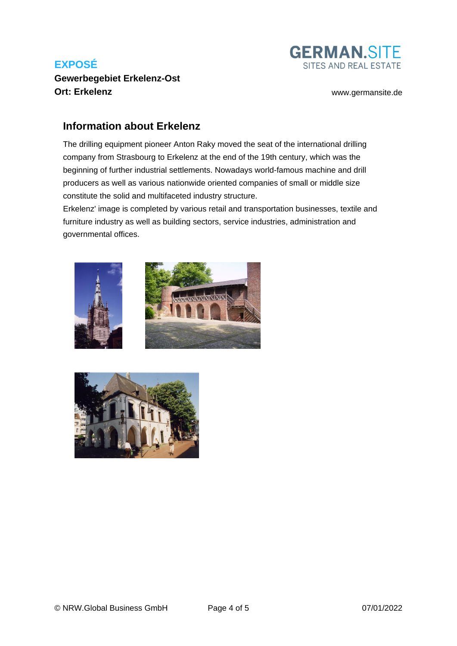### **Gewerbegebiet Erkelenz-Ost Ort: Erkelenz** [www.germansite.de](http://www.germansite.de)

**GERMAN.SITE** SITES AND REAL ESTATE

### **Information about Erkelenz**

The drilling equipment pioneer Anton Raky moved the seat of the international drilling company from Strasbourg to Erkelenz at the end of the 19th century, which was the beginning of further industrial settlements. Nowadays world-famous machine and drill producers as well as various nationwide oriented companies of small or middle size constitute the solid and multifaceted industry structure.

Erkelenz' image is completed by various retail and transportation businesses, textile and furniture industry as well as building sectors, service industries, administration and governmental offices.